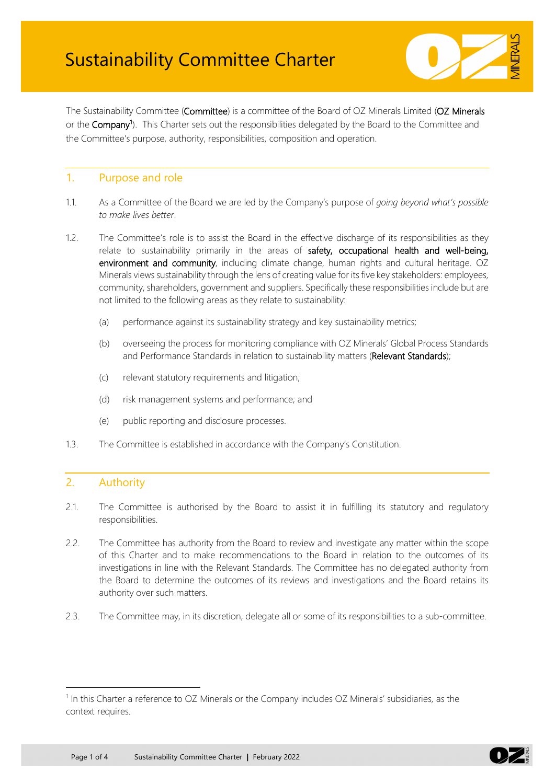

The Sustainability Committee (Committee) is a committee of the Board of OZ Minerals Limited (OZ Minerals or the Company<sup>[1](#page-0-0)</sup>). This Charter sets out the responsibilities delegated by the Board to the Committee and the Committee's purpose, authority, responsibilities, composition and operation.

### 1. Purpose and role

- 1.1. As a Committee of the Board we are led by the Company's purpose of *going beyond what's possible to make lives better*.
- 1.2. The Committee's role is to assist the Board in the effective discharge of its responsibilities as they relate to sustainability primarily in the areas of safety, occupational health and well-being, environment and community, including climate change, human rights and cultural heritage. OZ Minerals views sustainability through the lens of creating value for its five key stakeholders: employees, community, shareholders, government and suppliers. Specifically these responsibilities include but are not limited to the following areas as they relate to sustainability:
	- (a) performance against its sustainability strategy and key sustainability metrics;
	- (b) overseeing the process for monitoring compliance with OZ Minerals' Global Process Standards and Performance Standards in relation to sustainability matters (Relevant Standards);
	- (c) relevant statutory requirements and litigation;
	- (d) risk management systems and performance; and
	- (e) public reporting and disclosure processes.
- 1.3. The Committee is established in accordance with the Company's Constitution.

### 2. Authority

- 2.1. The Committee is authorised by the Board to assist it in fulfilling its statutory and regulatory responsibilities.
- 2.2. The Committee has authority from the Board to review and investigate any matter within the scope of this Charter and to make recommendations to the Board in relation to the outcomes of its investigations in line with the Relevant Standards. The Committee has no delegated authority from the Board to determine the outcomes of its reviews and investigations and the Board retains its authority over such matters.
- 2.3. The Committee may, in its discretion, delegate all or some of its responsibilities to a sub-committee.

<span id="page-0-0"></span> $1$  In this Charter a reference to OZ Minerals or the Company includes OZ Minerals' subsidiaries, as the context requires.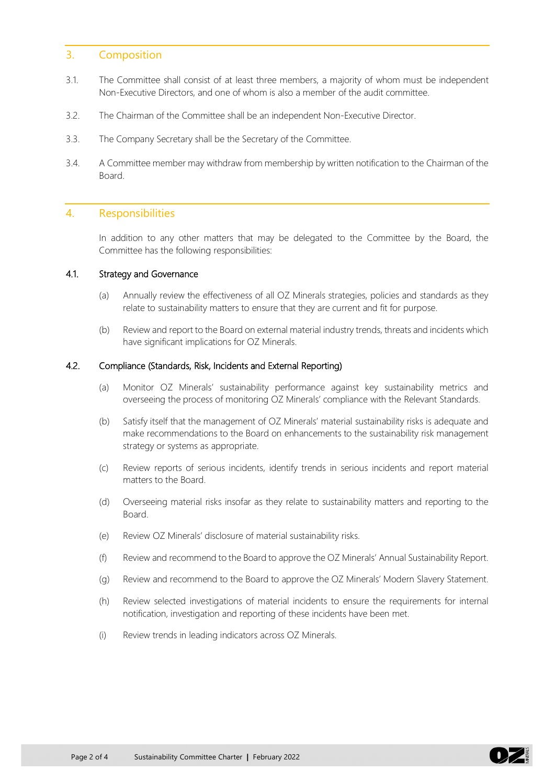### 3. Composition

- 3.1. The Committee shall consist of at least three members, a majority of whom must be independent Non-Executive Directors, and one of whom is also a member of the audit committee.
- 3.2. The Chairman of the Committee shall be an independent Non-Executive Director.
- 3.3. The Company Secretary shall be the Secretary of the Committee.
- 3.4. A Committee member may withdraw from membership by written notification to the Chairman of the Board.

#### 4. Responsibilities

In addition to any other matters that may be delegated to the Committee by the Board, the Committee has the following responsibilities:

#### 4.1. Strategy and Governance

- (a) Annually review the effectiveness of all OZ Minerals strategies, policies and standards as they relate to sustainability matters to ensure that they are current and fit for purpose.
- (b) Review and report to the Board on external material industry trends, threats and incidents which have significant implications for OZ Minerals.

#### 4.2. Compliance (Standards, Risk, Incidents and External Reporting)

- (a) Monitor OZ Minerals' sustainability performance against key sustainability metrics and overseeing the process of monitoring OZ Minerals' compliance with the Relevant Standards.
- (b) Satisfy itself that the management of OZ Minerals' material sustainability risks is adequate and make recommendations to the Board on enhancements to the sustainability risk management strategy or systems as appropriate.
- (c) Review reports of serious incidents, identify trends in serious incidents and report material matters to the Board.
- (d) Overseeing material risks insofar as they relate to sustainability matters and reporting to the Board.
- (e) Review OZ Minerals' disclosure of material sustainability risks.
- (f) Review and recommend to the Board to approve the OZ Minerals' Annual Sustainability Report.
- (g) Review and recommend to the Board to approve the OZ Minerals' Modern Slavery Statement.
- (h) Review selected investigations of material incidents to ensure the requirements for internal notification, investigation and reporting of these incidents have been met.
- (i) Review trends in leading indicators across OZ Minerals.

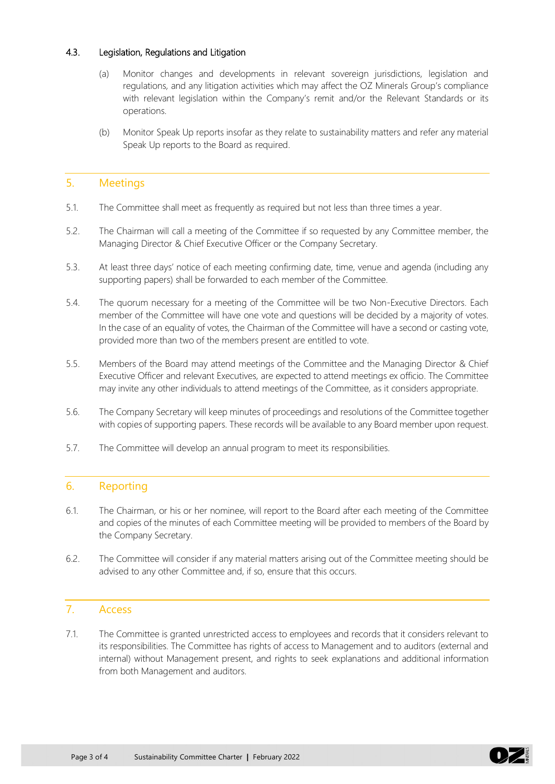#### 4.3. Legislation, Regulations and Litigation

- (a) Monitor changes and developments in relevant sovereign jurisdictions, legislation and regulations, and any litigation activities which may affect the OZ Minerals Group's compliance with relevant legislation within the Company's remit and/or the Relevant Standards or its operations.
- (b) Monitor Speak Up reports insofar as they relate to sustainability matters and refer any material Speak Up reports to the Board as required.

## 5. Meetings

- 5.1. The Committee shall meet as frequently as required but not less than three times a year.
- 5.2. The Chairman will call a meeting of the Committee if so requested by any Committee member, the Managing Director & Chief Executive Officer or the Company Secretary.
- 5.3. At least three days' notice of each meeting confirming date, time, venue and agenda (including any supporting papers) shall be forwarded to each member of the Committee.
- 5.4. The quorum necessary for a meeting of the Committee will be two Non-Executive Directors. Each member of the Committee will have one vote and questions will be decided by a majority of votes. In the case of an equality of votes, the Chairman of the Committee will have a second or casting vote, provided more than two of the members present are entitled to vote.
- 5.5. Members of the Board may attend meetings of the Committee and the Managing Director & Chief Executive Officer and relevant Executives, are expected to attend meetings ex officio. The Committee may invite any other individuals to attend meetings of the Committee, as it considers appropriate.
- 5.6. The Company Secretary will keep minutes of proceedings and resolutions of the Committee together with copies of supporting papers. These records will be available to any Board member upon request.
- 5.7. The Committee will develop an annual program to meet its responsibilities.

## 6. Reporting

- 6.1. The Chairman, or his or her nominee, will report to the Board after each meeting of the Committee and copies of the minutes of each Committee meeting will be provided to members of the Board by the Company Secretary.
- 6.2. The Committee will consider if any material matters arising out of the Committee meeting should be advised to any other Committee and, if so, ensure that this occurs.

# 7. Access

7.1. The Committee is granted unrestricted access to employees and records that it considers relevant to its responsibilities. The Committee has rights of access to Management and to auditors (external and internal) without Management present, and rights to seek explanations and additional information from both Management and auditors.